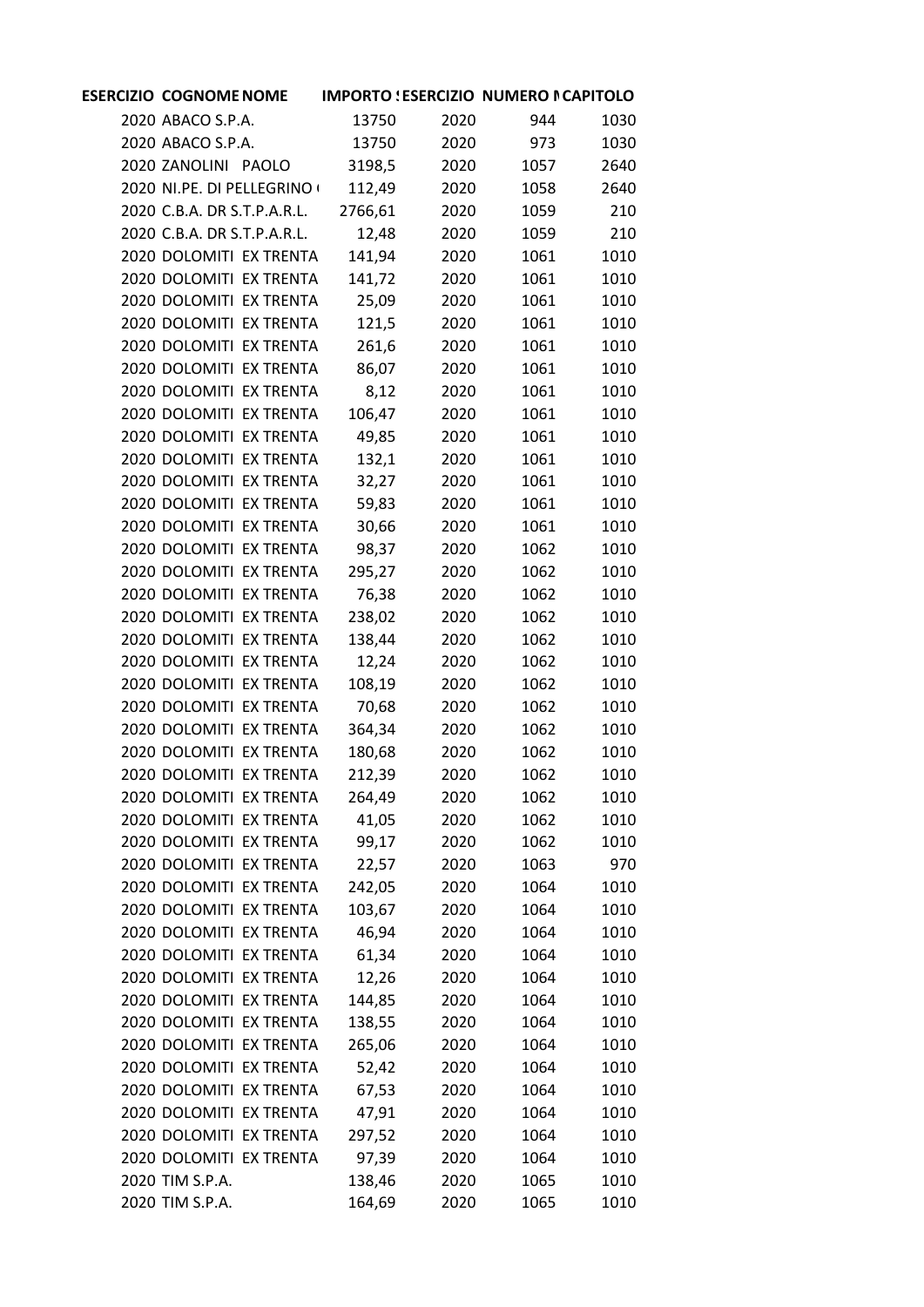| <b>ESERCIZIO COGNOME NOME</b> |         | <b>IMPORTO : ESERCIZIO NUMERO I CAPITOLO</b> |      |      |
|-------------------------------|---------|----------------------------------------------|------|------|
| 2020 ABACO S.P.A.             | 13750   | 2020                                         | 944  | 1030 |
| 2020 ABACO S.P.A.             | 13750   | 2020                                         | 973  | 1030 |
| 2020 ZANOLINI PAOLO           | 3198,5  | 2020                                         | 1057 | 2640 |
| 2020 NI.PE. DI PELLEGRINO (   | 112,49  | 2020                                         | 1058 | 2640 |
| 2020 C.B.A. DR S.T.P.A.R.L.   | 2766,61 | 2020                                         | 1059 | 210  |
| 2020 C.B.A. DR S.T.P.A.R.L.   | 12,48   | 2020                                         | 1059 | 210  |
| 2020 DOLOMITI EX TRENTA       | 141,94  | 2020                                         | 1061 | 1010 |
| 2020 DOLOMITI EX TRENTA       | 141,72  | 2020                                         | 1061 | 1010 |
| 2020 DOLOMITI EX TRENTA       | 25,09   | 2020                                         | 1061 | 1010 |
| 2020 DOLOMITI EX TRENTA       | 121,5   | 2020                                         | 1061 | 1010 |
| 2020 DOLOMITI EX TRENTA       | 261,6   | 2020                                         | 1061 | 1010 |
| 2020 DOLOMITI EX TRENTA       | 86,07   | 2020                                         | 1061 | 1010 |
| 2020 DOLOMITI EX TRENTA       | 8,12    | 2020                                         | 1061 | 1010 |
| 2020 DOLOMITI EX TRENTA       | 106,47  | 2020                                         | 1061 | 1010 |
| 2020 DOLOMITI EX TRENTA       | 49,85   | 2020                                         | 1061 | 1010 |
| 2020 DOLOMITI EX TRENTA       | 132,1   | 2020                                         | 1061 | 1010 |
| 2020 DOLOMITI EX TRENTA       | 32,27   | 2020                                         | 1061 | 1010 |
| 2020 DOLOMITI EX TRENTA       | 59,83   | 2020                                         | 1061 | 1010 |
| 2020 DOLOMITI EX TRENTA       | 30,66   | 2020                                         | 1061 | 1010 |
| 2020 DOLOMITI EX TRENTA       | 98,37   | 2020                                         | 1062 | 1010 |
| 2020 DOLOMITI EX TRENTA       | 295,27  | 2020                                         | 1062 | 1010 |
| 2020 DOLOMITI EX TRENTA       | 76,38   | 2020                                         | 1062 | 1010 |
| 2020 DOLOMITI EX TRENTA       | 238,02  | 2020                                         | 1062 | 1010 |
| 2020 DOLOMITI EX TRENTA       | 138,44  | 2020                                         | 1062 | 1010 |
| 2020 DOLOMITI EX TRENTA       | 12,24   | 2020                                         | 1062 | 1010 |
| 2020 DOLOMITI EX TRENTA       | 108,19  | 2020                                         | 1062 | 1010 |
| 2020 DOLOMITI EX TRENTA       | 70,68   | 2020                                         | 1062 | 1010 |
| 2020 DOLOMITI EX TRENTA       | 364,34  | 2020                                         | 1062 | 1010 |
| 2020 DOLOMITI EX TRENTA       | 180,68  | 2020                                         | 1062 | 1010 |
| 2020 DOLOMITI EX TRENTA       | 212,39  | 2020                                         | 1062 | 1010 |
| 2020 DOLOMITI EX TRENTA       | 264,49  | 2020                                         | 1062 | 1010 |
| 2020 DOLOMITI EX TRENTA       | 41,05   | 2020                                         | 1062 | 1010 |
| 2020 DOLOMITI EX TRENTA       | 99,17   | 2020                                         | 1062 | 1010 |
| 2020 DOLOMITI EX TRENTA       | 22,57   | 2020                                         | 1063 | 970  |
| 2020 DOLOMITI EX TRENTA       | 242,05  | 2020                                         | 1064 | 1010 |
| 2020 DOLOMITI EX TRENTA       | 103,67  | 2020                                         | 1064 | 1010 |
| 2020 DOLOMITI EX TRENTA       | 46,94   | 2020                                         | 1064 | 1010 |
| 2020 DOLOMITI EX TRENTA       | 61,34   | 2020                                         | 1064 | 1010 |
| 2020 DOLOMITI EX TRENTA       | 12,26   | 2020                                         | 1064 | 1010 |
| 2020 DOLOMITI EX TRENTA       | 144,85  | 2020                                         | 1064 | 1010 |
| 2020 DOLOMITI EX TRENTA       | 138,55  | 2020                                         | 1064 | 1010 |
| 2020 DOLOMITI EX TRENTA       | 265,06  | 2020                                         | 1064 | 1010 |
| 2020 DOLOMITI EX TRENTA       | 52,42   | 2020                                         | 1064 | 1010 |
| 2020 DOLOMITI EX TRENTA       | 67,53   | 2020                                         | 1064 | 1010 |
| 2020 DOLOMITI EX TRENTA       | 47,91   | 2020                                         | 1064 | 1010 |
| 2020 DOLOMITI EX TRENTA       | 297,52  | 2020                                         | 1064 | 1010 |
| 2020 DOLOMITI EX TRENTA       | 97,39   | 2020                                         | 1064 | 1010 |
| 2020 TIM S.P.A.               | 138,46  | 2020                                         | 1065 | 1010 |
| 2020 TIM S.P.A.               | 164,69  | 2020                                         | 1065 | 1010 |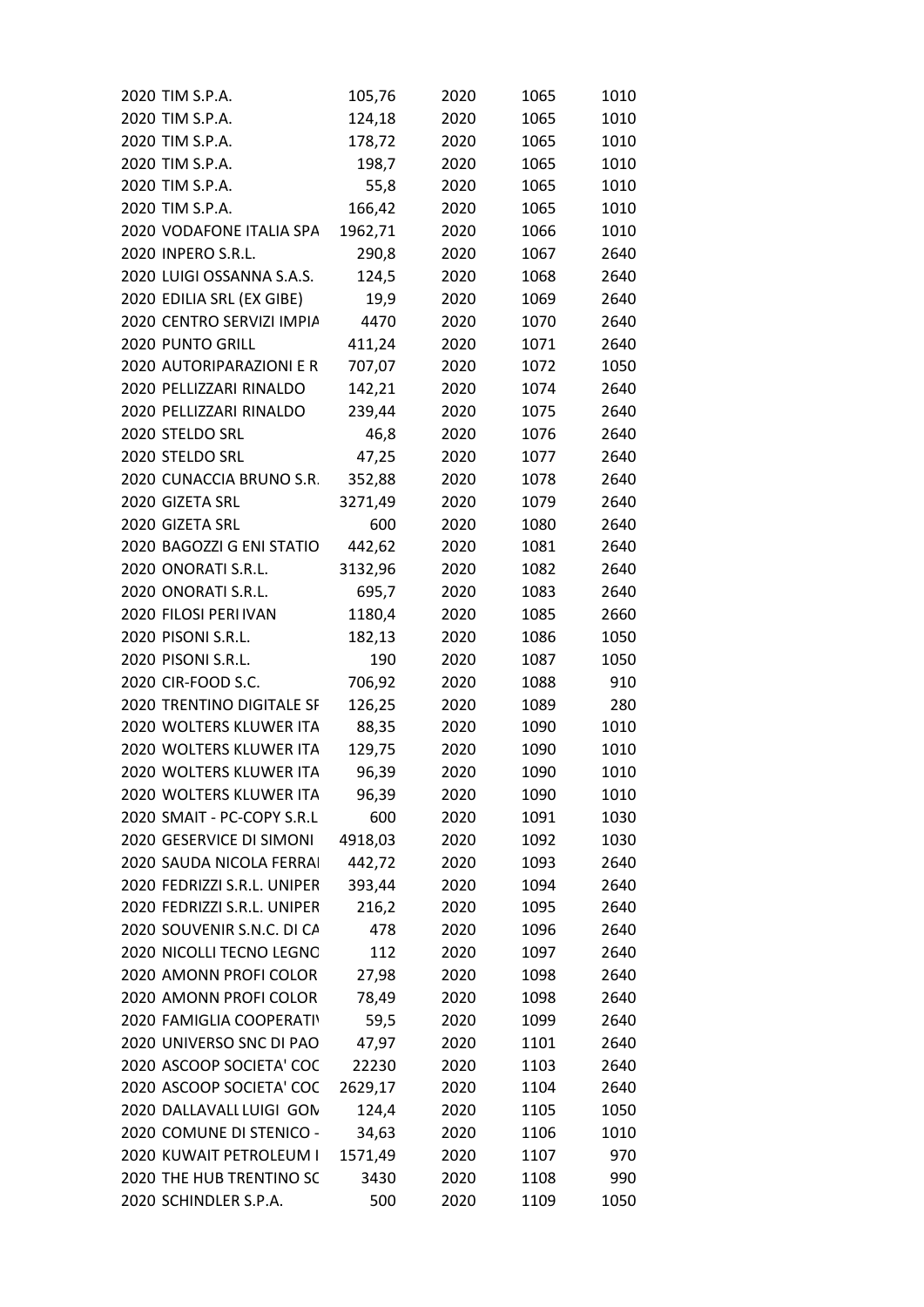| 2020 TIM S.P.A.             | 105,76  | 2020 | 1065 | 1010 |
|-----------------------------|---------|------|------|------|
| 2020 TIM S.P.A.             | 124,18  | 2020 | 1065 | 1010 |
| 2020 TIM S.P.A.             | 178,72  | 2020 | 1065 | 1010 |
| 2020 TIM S.P.A.             | 198,7   | 2020 | 1065 | 1010 |
| 2020 TIM S.P.A.             | 55,8    | 2020 | 1065 | 1010 |
| 2020 TIM S.P.A.             | 166,42  | 2020 | 1065 | 1010 |
| 2020 VODAFONE ITALIA SPA    | 1962,71 | 2020 | 1066 | 1010 |
| 2020 INPERO S.R.L.          | 290,8   | 2020 | 1067 | 2640 |
| 2020 LUIGI OSSANNA S.A.S.   | 124,5   | 2020 | 1068 | 2640 |
| 2020 EDILIA SRL (EX GIBE)   | 19,9    | 2020 | 1069 | 2640 |
| 2020 CENTRO SERVIZI IMPIA   | 4470    | 2020 | 1070 | 2640 |
| 2020 PUNTO GRILL            | 411,24  | 2020 | 1071 | 2640 |
| 2020 AUTORIPARAZIONI E R    | 707,07  | 2020 | 1072 | 1050 |
| 2020 PELLIZZARI RINALDO     | 142,21  | 2020 | 1074 | 2640 |
| 2020 PELLIZZARI RINALDO     | 239,44  | 2020 | 1075 | 2640 |
| 2020 STELDO SRL             | 46,8    | 2020 | 1076 | 2640 |
| 2020 STELDO SRL             | 47,25   | 2020 | 1077 | 2640 |
| 2020 CUNACCIA BRUNO S.R.    | 352,88  | 2020 | 1078 | 2640 |
| 2020 GIZETA SRL             | 3271,49 | 2020 | 1079 | 2640 |
| 2020 GIZETA SRL             | 600     | 2020 | 1080 | 2640 |
| 2020 BAGOZZI G ENI STATIO   | 442,62  | 2020 | 1081 | 2640 |
| 2020 ONORATI S.R.L.         | 3132,96 | 2020 | 1082 | 2640 |
| 2020 ONORATI S.R.L.         | 695,7   | 2020 | 1083 | 2640 |
| 2020 FILOSI PERI IVAN       | 1180,4  | 2020 | 1085 | 2660 |
| 2020 PISONI S.R.L.          | 182,13  | 2020 | 1086 | 1050 |
| 2020 PISONI S.R.L.          | 190     | 2020 | 1087 | 1050 |
| 2020 CIR-FOOD S.C.          | 706,92  | 2020 | 1088 | 910  |
| 2020 TRENTINO DIGITALE SF   | 126,25  | 2020 | 1089 | 280  |
| 2020 WOLTERS KLUWER ITA     | 88,35   | 2020 | 1090 | 1010 |
| 2020 WOLTERS KLUWER ITA     | 129,75  | 2020 | 1090 | 1010 |
| 2020 WOLTERS KLUWER ITA     | 96,39   | 2020 | 1090 | 1010 |
| 2020 WOLTERS KLUWER ITA     | 96,39   | 2020 | 1090 | 1010 |
| 2020 SMAIT - PC-COPY S.R.L  | 600     | 2020 | 1091 | 1030 |
| 2020 GESERVICE DI SIMONI    | 4918,03 | 2020 | 1092 | 1030 |
| 2020 SAUDA NICOLA FERRAI    | 442,72  | 2020 | 1093 | 2640 |
| 2020 FEDRIZZI S.R.L. UNIPER | 393,44  | 2020 | 1094 | 2640 |
| 2020 FEDRIZZI S.R.L. UNIPER | 216,2   | 2020 | 1095 | 2640 |
| 2020 SOUVENIR S.N.C. DI CA  | 478     | 2020 | 1096 | 2640 |
| 2020 NICOLLI TECNO LEGNO    | 112     | 2020 | 1097 | 2640 |
| 2020 AMONN PROFI COLOR      | 27,98   | 2020 | 1098 | 2640 |
| 2020 AMONN PROFI COLOR      | 78,49   | 2020 | 1098 | 2640 |
| 2020 FAMIGLIA COOPERATIV    | 59,5    | 2020 | 1099 | 2640 |
| 2020 UNIVERSO SNC DI PAO    | 47,97   | 2020 | 1101 | 2640 |
| 2020 ASCOOP SOCIETA' COC    | 22230   | 2020 | 1103 | 2640 |
| 2020 ASCOOP SOCIETA' COC    | 2629,17 | 2020 | 1104 | 2640 |
| 2020 DALLAVALI LUIGI GON    | 124,4   | 2020 | 1105 | 1050 |
| 2020 COMUNE DI STENICO -    | 34,63   | 2020 | 1106 | 1010 |
| 2020 KUWAIT PETROLEUM I     | 1571,49 | 2020 | 1107 | 970  |
| 2020 THE HUB TRENTINO SC    | 3430    | 2020 | 1108 | 990  |
| 2020 SCHINDLER S.P.A.       | 500     | 2020 | 1109 | 1050 |
|                             |         |      |      |      |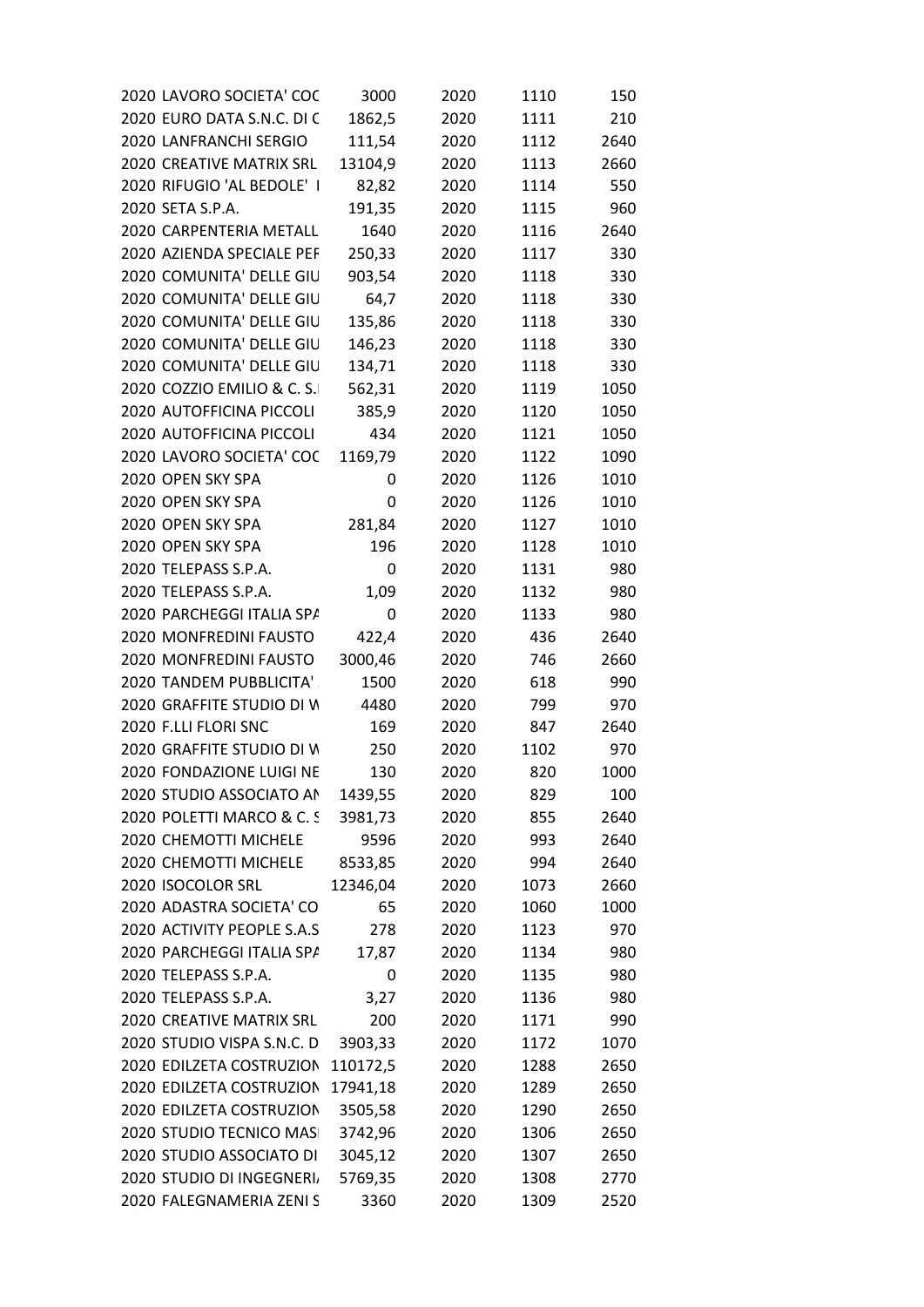| 2020 LAVORO SOCIETA' COC    | 3000      | 2020 | 1110 | 150  |
|-----------------------------|-----------|------|------|------|
| 2020 EURO DATA S.N.C. DI C  | 1862,5    | 2020 | 1111 | 210  |
| 2020 LANFRANCHI SERGIO      | 111,54    | 2020 | 1112 | 2640 |
| 2020 CREATIVE MATRIX SRL    | 13104,9   | 2020 | 1113 | 2660 |
| 2020 RIFUGIO 'AL BEDOLE' I  | 82,82     | 2020 | 1114 | 550  |
| 2020 SETA S.P.A.            | 191,35    | 2020 | 1115 | 960  |
| 2020 CARPENTERIA METALL     | 1640      | 2020 | 1116 | 2640 |
| 2020 AZIENDA SPECIALE PEF   | 250,33    | 2020 | 1117 | 330  |
| 2020 COMUNITA' DELLE GIU    | 903,54    | 2020 | 1118 | 330  |
| 2020 COMUNITA' DELLE GIU    | 64,7      | 2020 | 1118 | 330  |
| 2020 COMUNITA' DELLE GIU    | 135,86    | 2020 | 1118 | 330  |
| 2020 COMUNITA' DELLE GIU    | 146,23    | 2020 | 1118 | 330  |
| 2020 COMUNITA' DELLE GIU    | 134,71    | 2020 | 1118 | 330  |
| 2020 COZZIO EMILIO & C. S.I | 562,31    | 2020 | 1119 | 1050 |
| 2020 AUTOFFICINA PICCOLI    | 385,9     | 2020 | 1120 | 1050 |
| 2020 AUTOFFICINA PICCOLI    | 434       | 2020 | 1121 | 1050 |
| 2020 LAVORO SOCIETA' COC    | 1169,79   | 2020 | 1122 | 1090 |
| 2020 OPEN SKY SPA           | 0         | 2020 | 1126 | 1010 |
| 2020 OPEN SKY SPA           | 0         | 2020 | 1126 | 1010 |
| 2020 OPEN SKY SPA           | 281,84    | 2020 | 1127 | 1010 |
| 2020 OPEN SKY SPA           | 196       | 2020 | 1128 | 1010 |
| 2020 TELEPASS S.P.A.        | 0         | 2020 | 1131 | 980  |
| 2020 TELEPASS S.P.A.        | 1,09      | 2020 | 1132 | 980  |
| 2020 PARCHEGGI ITALIA SPA   | $\pmb{0}$ | 2020 | 1133 | 980  |
| 2020 MONFREDINI FAUSTO      | 422,4     | 2020 | 436  | 2640 |
| 2020 MONFREDINI FAUSTO      | 3000,46   | 2020 | 746  | 2660 |
| 2020 TANDEM PUBBLICITA'     | 1500      | 2020 | 618  | 990  |
| 2020 GRAFFITE STUDIO DI W   | 4480      | 2020 | 799  | 970  |
| 2020 F.LLI FLORI SNC        | 169       | 2020 | 847  | 2640 |
| 2020 GRAFFITE STUDIO DI W   | 250       | 2020 | 1102 | 970  |
| 2020 FONDAZIONE LUIGI NE    | 130       | 2020 | 820  | 1000 |
| 2020 STUDIO ASSOCIATO AN    | 1439,55   | 2020 | 829  | 100  |
| 2020 POLETTI MARCO & C. S   | 3981,73   | 2020 | 855  | 2640 |
| 2020 CHEMOTTI MICHELE       | 9596      | 2020 | 993  | 2640 |
| 2020 CHEMOTTI MICHELE       | 8533,85   | 2020 | 994  | 2640 |
| 2020 ISOCOLOR SRL           | 12346,04  | 2020 | 1073 | 2660 |
| 2020 ADASTRA SOCIETA' CO    | 65        | 2020 | 1060 | 1000 |
| 2020 ACTIVITY PEOPLE S.A.S  | 278       | 2020 | 1123 | 970  |
| 2020 PARCHEGGI ITALIA SPA   | 17,87     | 2020 | 1134 | 980  |
| 2020 TELEPASS S.P.A.        | 0         | 2020 | 1135 | 980  |
| 2020 TELEPASS S.P.A.        |           |      |      |      |
|                             | 3,27      | 2020 | 1136 | 980  |
| 2020 CREATIVE MATRIX SRL    | 200       | 2020 | 1171 | 990  |
| 2020 STUDIO VISPA S.N.C. D  | 3903,33   | 2020 | 1172 | 1070 |
| 2020 EDILZETA COSTRUZION    | 110172,5  | 2020 | 1288 | 2650 |
| 2020 EDILZETA COSTRUZION    | 17941,18  | 2020 | 1289 | 2650 |
| 2020 EDILZETA COSTRUZION    | 3505,58   | 2020 | 1290 | 2650 |
| 2020 STUDIO TECNICO MASI    | 3742,96   | 2020 | 1306 | 2650 |
| 2020 STUDIO ASSOCIATO DI    | 3045,12   | 2020 | 1307 | 2650 |
| 2020 STUDIO DI INGEGNERI    | 5769,35   | 2020 | 1308 | 2770 |
| 2020 FALEGNAMERIA ZENI S    | 3360      | 2020 | 1309 | 2520 |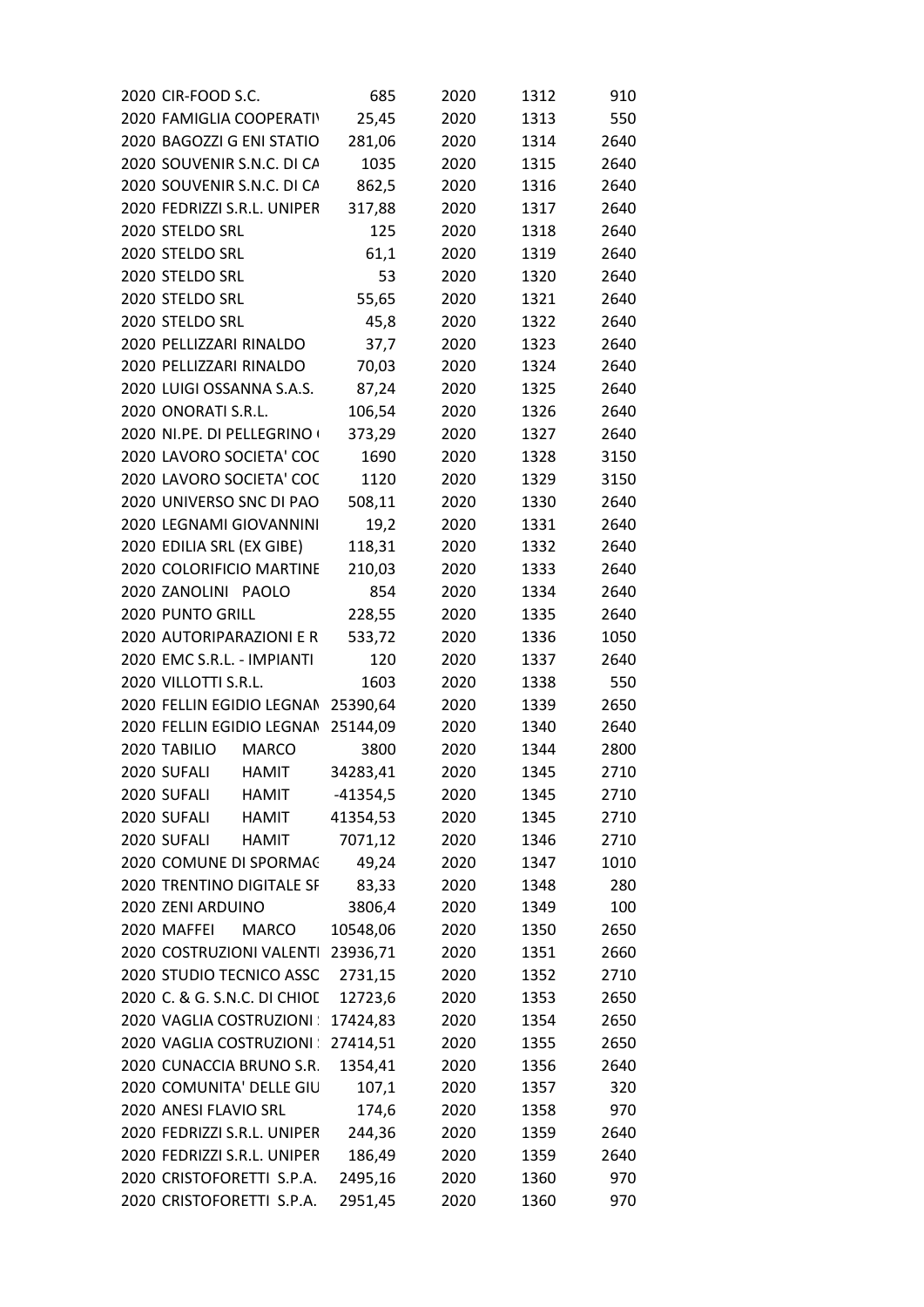|              | 2020 CIR-FOOD S.C.                 | 685        | 2020 | 1312 | 910  |  |
|--------------|------------------------------------|------------|------|------|------|--|
|              | 2020 FAMIGLIA COOPERATIV           | 25,45      | 2020 | 1313 | 550  |  |
|              | 2020 BAGOZZI G ENI STATIO          | 281,06     | 2020 | 1314 | 2640 |  |
|              | 2020 SOUVENIR S.N.C. DI CA         | 1035       | 2020 | 1315 | 2640 |  |
|              | 2020 SOUVENIR S.N.C. DI CA         | 862,5      | 2020 | 1316 | 2640 |  |
|              | 2020 FEDRIZZI S.R.L. UNIPER        | 317,88     | 2020 | 1317 | 2640 |  |
|              | 2020 STELDO SRL                    | 125        | 2020 | 1318 | 2640 |  |
|              | 2020 STELDO SRL                    | 61,1       | 2020 | 1319 | 2640 |  |
|              | 2020 STELDO SRL                    | 53         | 2020 | 1320 | 2640 |  |
|              | 2020 STELDO SRL                    | 55,65      | 2020 | 1321 | 2640 |  |
|              | 2020 STELDO SRL                    | 45,8       | 2020 | 1322 | 2640 |  |
|              | 2020 PELLIZZARI RINALDO            | 37,7       | 2020 | 1323 | 2640 |  |
|              | 2020 PELLIZZARI RINALDO            | 70,03      | 2020 | 1324 | 2640 |  |
|              | 2020 LUIGI OSSANNA S.A.S.          | 87,24      | 2020 | 1325 | 2640 |  |
|              | 2020 ONORATI S.R.L.                | 106,54     | 2020 | 1326 | 2640 |  |
|              | 2020 NI.PE. DI PELLEGRINO          |            |      |      | 2640 |  |
|              |                                    | 373,29     | 2020 | 1327 |      |  |
|              | 2020 LAVORO SOCIETA' COC           | 1690       | 2020 | 1328 | 3150 |  |
|              | 2020 LAVORO SOCIETA' COC           | 1120       | 2020 | 1329 | 3150 |  |
|              | 2020 UNIVERSO SNC DI PAO           | 508,11     | 2020 | 1330 | 2640 |  |
|              | 2020 LEGNAMI GIOVANNINI            | 19,2       | 2020 | 1331 | 2640 |  |
|              | 2020 EDILIA SRL (EX GIBE)          | 118,31     | 2020 | 1332 | 2640 |  |
|              | 2020 COLORIFICIO MARTINE           | 210,03     | 2020 | 1333 | 2640 |  |
|              | 2020 ZANOLINI PAOLO                | 854        | 2020 | 1334 | 2640 |  |
|              | 2020 PUNTO GRILL                   | 228,55     | 2020 | 1335 | 2640 |  |
|              | 2020 AUTORIPARAZIONI E R           | 533,72     | 2020 | 1336 | 1050 |  |
|              | 2020 EMC S.R.L. - IMPIANTI         | 120        | 2020 | 1337 | 2640 |  |
|              | 2020 VILLOTTI S.R.L.               | 1603       | 2020 | 1338 | 550  |  |
|              | 2020 FELLIN EGIDIO LEGNAN 25390,64 |            | 2020 | 1339 | 2650 |  |
|              | 2020 FELLIN EGIDIO LEGNAN          | 25144,09   | 2020 | 1340 | 2640 |  |
| 2020 TABILIO | <b>MARCO</b>                       | 3800       | 2020 | 1344 | 2800 |  |
| 2020 SUFALI  | <b>HAMIT</b>                       | 34283,41   | 2020 | 1345 | 2710 |  |
| 2020 SUFALI  | <b>HAMIT</b>                       | $-41354,5$ | 2020 | 1345 | 2710 |  |
| 2020 SUFALI  | <b>HAMIT</b>                       | 41354,53   | 2020 | 1345 | 2710 |  |
| 2020 SUFALI  | <b>HAMIT</b>                       | 7071,12    | 2020 | 1346 | 2710 |  |
|              | 2020 COMUNE DI SPORMAC             | 49,24      | 2020 | 1347 | 1010 |  |
|              | 2020 TRENTINO DIGITALE SF          | 83,33      | 2020 | 1348 | 280  |  |
|              | 2020 ZENI ARDUINO                  | 3806,4     | 2020 | 1349 | 100  |  |
| 2020 MAFFEI  | <b>MARCO</b>                       | 10548,06   | 2020 | 1350 | 2650 |  |
|              | 2020 COSTRUZIONI VALENTI           | 23936,71   | 2020 | 1351 | 2660 |  |
|              | 2020 STUDIO TECNICO ASSC           | 2731,15    | 2020 | 1352 | 2710 |  |
|              | 2020 C. & G. S.N.C. DI CHIOL       | 12723,6    | 2020 | 1353 | 2650 |  |
|              | 2020 VAGLIA COSTRUZIONI :          | 17424,83   | 2020 | 1354 | 2650 |  |
|              | 2020 VAGLIA COSTRUZIONI :          | 27414,51   | 2020 | 1355 | 2650 |  |
|              | 2020 CUNACCIA BRUNO S.R.           | 1354,41    | 2020 | 1356 | 2640 |  |
|              | 2020 COMUNITA' DELLE GIU           | 107,1      | 2020 | 1357 | 320  |  |
|              | 2020 ANESI FLAVIO SRL              | 174,6      | 2020 | 1358 | 970  |  |
|              | 2020 FEDRIZZI S.R.L. UNIPER        | 244,36     | 2020 | 1359 | 2640 |  |
|              | 2020 FEDRIZZI S.R.L. UNIPER        | 186,49     | 2020 | 1359 | 2640 |  |
|              | 2020 CRISTOFORETTI S.P.A.          | 2495,16    | 2020 | 1360 | 970  |  |
|              | 2020 CRISTOFORETTI S.P.A.          | 2951,45    | 2020 | 1360 | 970  |  |
|              |                                    |            |      |      |      |  |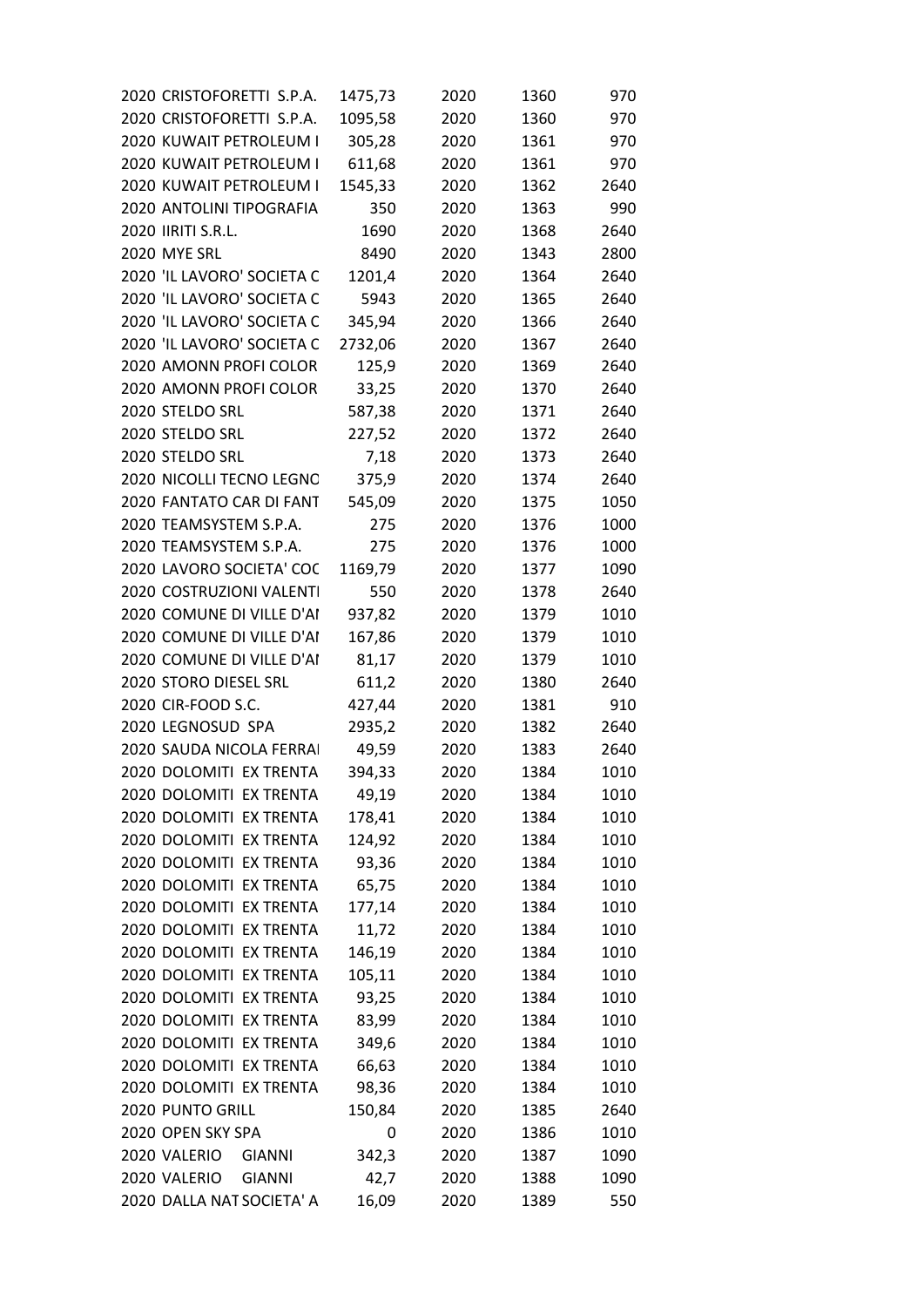| 2020 CRISTOFORETTI S.P.A.     | 1475,73 | 2020 | 1360 | 970  |
|-------------------------------|---------|------|------|------|
| 2020 CRISTOFORETTI S.P.A.     | 1095,58 | 2020 | 1360 | 970  |
| 2020 KUWAIT PETROLEUM I       | 305,28  | 2020 | 1361 | 970  |
| 2020 KUWAIT PETROLEUM I       | 611,68  | 2020 | 1361 | 970  |
| 2020 KUWAIT PETROLEUM I       | 1545,33 | 2020 | 1362 | 2640 |
| 2020 ANTOLINI TIPOGRAFIA      | 350     | 2020 | 1363 | 990  |
| 2020 IIRITI S.R.L.            | 1690    | 2020 | 1368 | 2640 |
| 2020 MYE SRL                  | 8490    | 2020 | 1343 | 2800 |
| 2020 'IL LAVORO' SOCIETA C    | 1201,4  | 2020 | 1364 | 2640 |
| 2020 'IL LAVORO' SOCIETA C    | 5943    | 2020 | 1365 | 2640 |
| 2020 'IL LAVORO' SOCIETA C    | 345,94  | 2020 | 1366 | 2640 |
| 2020 'IL LAVORO' SOCIETA C    | 2732,06 | 2020 | 1367 | 2640 |
| 2020 AMONN PROFI COLOR        | 125,9   | 2020 | 1369 | 2640 |
| 2020 AMONN PROFI COLOR        | 33,25   | 2020 | 1370 | 2640 |
| 2020 STELDO SRL               | 587,38  | 2020 | 1371 | 2640 |
| 2020 STELDO SRL               | 227,52  | 2020 | 1372 | 2640 |
| 2020 STELDO SRL               | 7,18    | 2020 | 1373 | 2640 |
| 2020 NICOLLI TECNO LEGNO      | 375,9   | 2020 | 1374 | 2640 |
| 2020 FANTATO CAR DI FANT      | 545,09  | 2020 | 1375 | 1050 |
| 2020 TEAMSYSTEM S.P.A.        | 275     | 2020 | 1376 | 1000 |
| 2020 TEAMSYSTEM S.P.A.        | 275     | 2020 | 1376 | 1000 |
| 2020 LAVORO SOCIETA' COC      | 1169,79 | 2020 | 1377 | 1090 |
| 2020 COSTRUZIONI VALENTI      | 550     | 2020 | 1378 | 2640 |
| 2020 COMUNE DI VILLE D'AI     | 937,82  | 2020 | 1379 | 1010 |
| 2020 COMUNE DI VILLE D'AI     | 167,86  | 2020 | 1379 | 1010 |
| 2020 COMUNE DI VILLE D'AI     | 81,17   | 2020 | 1379 | 1010 |
| 2020 STORO DIESEL SRL         | 611,2   | 2020 | 1380 | 2640 |
| 2020 CIR-FOOD S.C.            | 427,44  | 2020 | 1381 | 910  |
| 2020 LEGNOSUD SPA             | 2935,2  | 2020 | 1382 | 2640 |
| 2020 SAUDA NICOLA FERRAI      | 49,59   | 2020 | 1383 | 2640 |
| 2020 DOLOMITI EX TRENTA       | 394,33  | 2020 | 1384 | 1010 |
| 2020 DOLOMITI EX TRENTA       | 49,19   | 2020 | 1384 | 1010 |
| 2020 DOLOMITI EX TRENTA       | 178,41  | 2020 | 1384 | 1010 |
| 2020 DOLOMITI EX TRENTA       | 124,92  | 2020 | 1384 | 1010 |
| 2020 DOLOMITI EX TRENTA       | 93,36   | 2020 | 1384 | 1010 |
| 2020 DOLOMITI EX TRENTA       | 65,75   | 2020 | 1384 | 1010 |
| 2020 DOLOMITI EX TRENTA       | 177,14  | 2020 | 1384 | 1010 |
| 2020 DOLOMITI EX TRENTA       | 11,72   | 2020 | 1384 | 1010 |
| 2020 DOLOMITI EX TRENTA       | 146,19  | 2020 | 1384 | 1010 |
| 2020 DOLOMITI EX TRENTA       | 105,11  | 2020 | 1384 | 1010 |
| 2020 DOLOMITI EX TRENTA       | 93,25   | 2020 | 1384 | 1010 |
| 2020 DOLOMITI EX TRENTA       | 83,99   | 2020 | 1384 | 1010 |
| 2020 DOLOMITI EX TRENTA       |         |      |      |      |
| 2020 DOLOMITI EX TRENTA       | 349,6   | 2020 | 1384 | 1010 |
|                               | 66,63   | 2020 | 1384 | 1010 |
| 2020 DOLOMITI EX TRENTA       | 98,36   | 2020 | 1384 | 1010 |
| 2020 PUNTO GRILL              | 150,84  | 2020 | 1385 | 2640 |
| 2020 OPEN SKY SPA             | 0       | 2020 | 1386 | 1010 |
| 2020 VALERIO<br><b>GIANNI</b> | 342,3   | 2020 | 1387 | 1090 |
| 2020 VALERIO<br><b>GIANNI</b> | 42,7    | 2020 | 1388 | 1090 |
| 2020 DALLA NAT SOCIETA' A     | 16,09   | 2020 | 1389 | 550  |